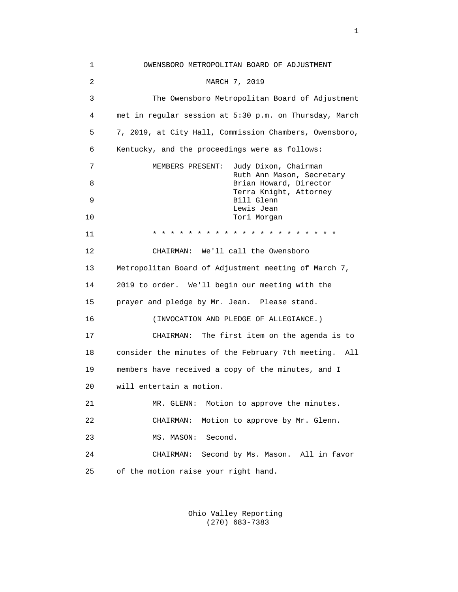1 OWENSBORO METROPOLITAN BOARD OF ADJUSTMENT 2 MARCH 7, 2019 3 The Owensboro Metropolitan Board of Adjustment 4 met in regular session at 5:30 p.m. on Thursday, March 5 7, 2019, at City Hall, Commission Chambers, Owensboro, 6 Kentucky, and the proceedings were as follows: 7 MEMBERS PRESENT: Judy Dixon, Chairman Ruth Ann Mason, Secretary<br>Brian Howard, Director 8 Brian Howard, Director Terra Knight, Attorney<br>Bill Glenn<br>Bill Glenn 9 Bill Glenn Lewis Jean نفسه المستخدمة المستخدمة المستخدمة المستخدمة المستخدمة المستخدمة المستخدمة المستخدمة المستخدمة المس<br>توسع المستخدمة المستخدمة المستخدمة المستخدمة المستخدمة المستخدمة المستخدمة المستخدمة المستخدمة المستخدمة المست Tori Morgan 11 \* \* \* \* \* \* \* \* \* \* \* \* \* \* \* \* \* \* \* \* \* 12 CHAIRMAN: We'll call the Owensboro 13 Metropolitan Board of Adjustment meeting of March 7, 14 2019 to order. We'll begin our meeting with the 15 prayer and pledge by Mr. Jean. Please stand. 16 (INVOCATION AND PLEDGE OF ALLEGIANCE.) 17 CHAIRMAN: The first item on the agenda is to 18 consider the minutes of the February 7th meeting. All 19 members have received a copy of the minutes, and I 20 will entertain a motion. 21 MR. GLENN: Motion to approve the minutes. 22 CHAIRMAN: Motion to approve by Mr. Glenn. 23 MS. MASON: Second. 24 CHAIRMAN: Second by Ms. Mason. All in favor 25 of the motion raise your right hand.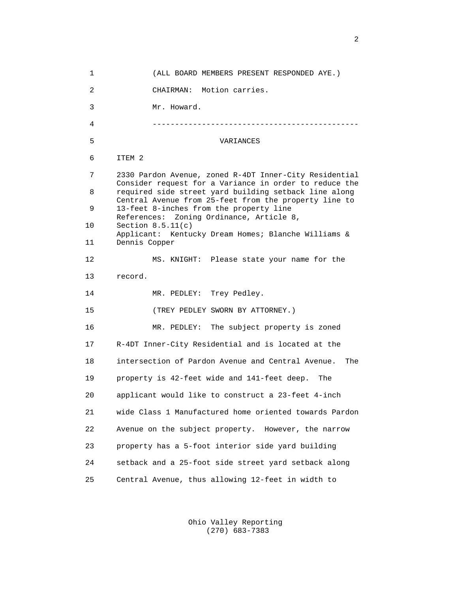1 (ALL BOARD MEMBERS PRESENT RESPONDED AYE.) 2 CHAIRMAN: Motion carries. 3 Mr. Howard. 4 ---------------------------------------------- 5 VARIANCES 6 ITEM 2 7 2330 Pardon Avenue, zoned R-4DT Inner-City Residential Consider request for a Variance in order to reduce the<br>B a required side street vard building setback line along required side street yard building setback line along Central Avenue from 25-feet from the property line to<br>9 13-feet 8-inches from the property line 13-feet 8-inches from the property line References: Zoning Ordinance, Article 8,<br>10 Section 8.5.11(c) Section  $8.5.11(c)$ Applicant: Kentucky Dream Homes; Blanche Williams & 11 Dennis Copper Dennis Copper 12 MS. KNIGHT: Please state your name for the 13 record. 14 MR. PEDLEY: Trey Pedley. 15 (TREY PEDLEY SWORN BY ATTORNEY.) 16 MR. PEDLEY: The subject property is zoned 17 R-4DT Inner-City Residential and is located at the 18 intersection of Pardon Avenue and Central Avenue. The 19 property is 42-feet wide and 141-feet deep. The 20 applicant would like to construct a 23-feet 4-inch 21 wide Class 1 Manufactured home oriented towards Pardon 22 Avenue on the subject property. However, the narrow 23 property has a 5-foot interior side yard building 24 setback and a 25-foot side street yard setback along 25 Central Avenue, thus allowing 12-feet in width to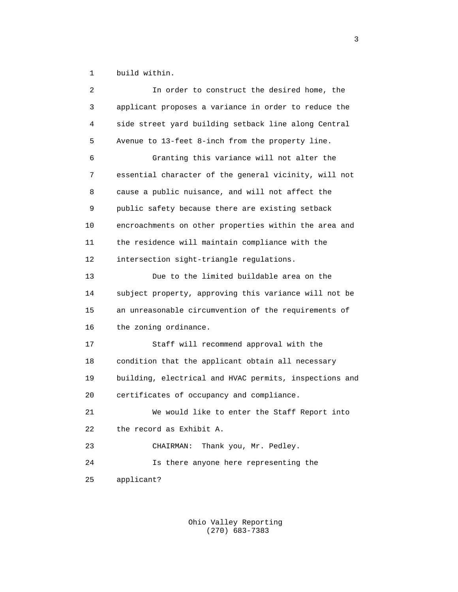1 build within.

| 2  | In order to construct the desired home, the            |
|----|--------------------------------------------------------|
| 3  | applicant proposes a variance in order to reduce the   |
| 4  | side street yard building setback line along Central   |
| 5  | Avenue to 13-feet 8-inch from the property line.       |
| 6  | Granting this variance will not alter the              |
| 7  | essential character of the general vicinity, will not  |
| 8  | cause a public nuisance, and will not affect the       |
| 9  | public safety because there are existing setback       |
| 10 | encroachments on other properties within the area and  |
| 11 | the residence will maintain compliance with the        |
| 12 | intersection sight-triangle regulations.               |
| 13 | Due to the limited buildable area on the               |
| 14 | subject property, approving this variance will not be  |
| 15 | an unreasonable circumvention of the requirements of   |
| 16 | the zoning ordinance.                                  |
| 17 | Staff will recommend approval with the                 |
| 18 | condition that the applicant obtain all necessary      |
| 19 | building, electrical and HVAC permits, inspections and |
| 20 | certificates of occupancy and compliance.              |
| 21 | We would like to enter the Staff Report into           |
| 22 | the record as Exhibit A.                               |
| 23 | Thank you, Mr. Pedley.<br>CHAIRMAN:                    |
| 24 | Is there anyone here representing the                  |
| 25 | applicant?                                             |
|    |                                                        |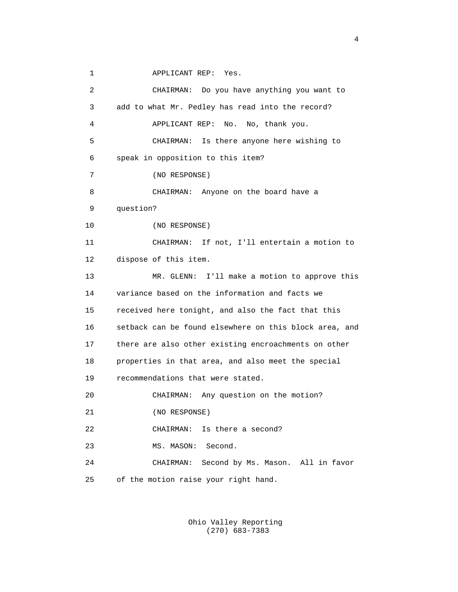1 APPLICANT REP: Yes.

 2 CHAIRMAN: Do you have anything you want to 3 add to what Mr. Pedley has read into the record? 4 APPLICANT REP: No. No, thank you. 5 CHAIRMAN: Is there anyone here wishing to 6 speak in opposition to this item? 7 (NO RESPONSE) 8 CHAIRMAN: Anyone on the board have a 9 question? 10 (NO RESPONSE) 11 CHAIRMAN: If not, I'll entertain a motion to 12 dispose of this item. 13 MR. GLENN: I'll make a motion to approve this 14 variance based on the information and facts we 15 received here tonight, and also the fact that this 16 setback can be found elsewhere on this block area, and 17 there are also other existing encroachments on other 18 properties in that area, and also meet the special 19 recommendations that were stated. 20 CHAIRMAN: Any question on the motion? 21 (NO RESPONSE) 22 CHAIRMAN: Is there a second? 23 MS. MASON: Second. 24 CHAIRMAN: Second by Ms. Mason. All in favor 25 of the motion raise your right hand.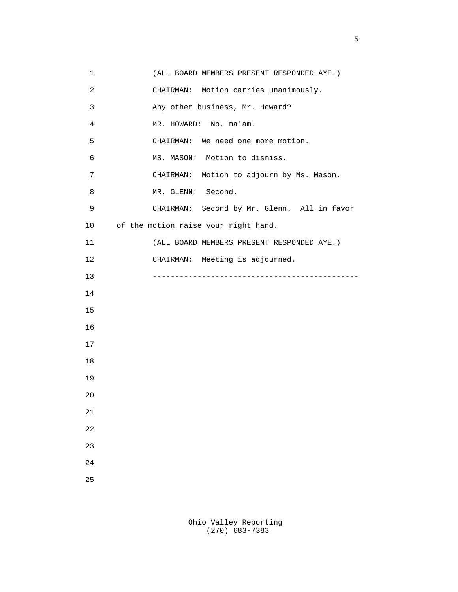| (ALL BOARD MEMBERS PRESENT RESPONDED AYE.)  |
|---------------------------------------------|
| CHAIRMAN: Motion carries unanimously.       |
|                                             |
|                                             |
|                                             |
|                                             |
| CHAIRMAN: Motion to adjourn by Ms. Mason.   |
|                                             |
| CHAIRMAN: Second by Mr. Glenn. All in favor |
|                                             |
| (ALL BOARD MEMBERS PRESENT RESPONDED AYE.)  |
|                                             |
|                                             |
|                                             |
|                                             |
|                                             |
|                                             |
|                                             |
|                                             |
|                                             |
|                                             |
|                                             |
|                                             |
|                                             |
|                                             |
|                                             |